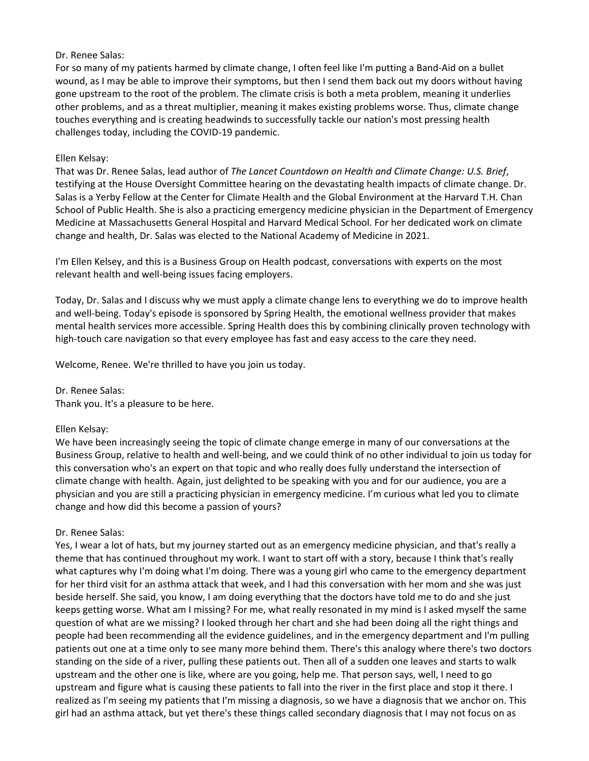For so many of my patients harmed by climate change, I often feel like I'm putting a Band-Aid on a bullet wound, as I may be able to improve their symptoms, but then I send them back out my doors without having gone upstream to the root of the problem. The climate crisis is both a meta problem, meaning it underlies other problems, and as a threat multiplier, meaning it makes existing problems worse. Thus, climate change touches everything and is creating headwinds to successfully tackle our nation's most pressing health challenges today, including the COVID-19 pandemic.

### Ellen Kelsay:

That was Dr. Renee Salas, lead author of *The Lancet Countdown on Health and Climate Change: U.S. Brief*, testifying at the House Oversight Committee hearing on the devastating health impacts of climate change. Dr. Salas is a Yerby Fellow at the Center for Climate Health and the Global Environment at the Harvard T.H. Chan School of Public Health. She is also a practicing emergency medicine physician in the Department of Emergency Medicine at Massachusetts General Hospital and Harvard Medical School. For her dedicated work on climate change and health, Dr. Salas was elected to the National Academy of Medicine in 2021.

I'm Ellen Kelsey, and this is a Business Group on Health podcast, conversations with experts on the most relevant health and well-being issues facing employers.

Today, Dr. Salas and I discuss why we must apply a climate change lens to everything we do to improve health and well-being. Today's episode is sponsored by Spring Health, the emotional wellness provider that makes mental health services more accessible. Spring Health does this by combining clinically proven technology with high-touch care navigation so that every employee has fast and easy access to the care they need.

Welcome, Renee. We're thrilled to have you join us today.

#### Dr. Renee Salas:

Thank you. It's a pleasure to be here.

#### Ellen Kelsay:

We have been increasingly seeing the topic of climate change emerge in many of our conversations at the Business Group, relative to health and well-being, and we could think of no other individual to join us today for this conversation who's an expert on that topic and who really does fully understand the intersection of climate change with health. Again, just delighted to be speaking with you and for our audience, you are a physician and you are still a practicing physician in emergency medicine. I'm curious what led you to climate change and how did this become a passion of yours?

#### Dr. Renee Salas:

Yes, I wear a lot of hats, but my journey started out as an emergency medicine physician, and that's really a theme that has continued throughout my work. I want to start off with a story, because I think that's really what captures why I'm doing what I'm doing. There was a young girl who came to the emergency department for her third visit for an asthma attack that week, and I had this conversation with her mom and she was just beside herself. She said, you know, I am doing everything that the doctors have told me to do and she just keeps getting worse. What am I missing? For me, what really resonated in my mind is I asked myself the same question of what are we missing? I looked through her chart and she had been doing all the right things and people had been recommending all the evidence guidelines, and in the emergency department and I'm pulling patients out one at a time only to see many more behind them. There's this analogy where there's two doctors standing on the side of a river, pulling these patients out. Then all of a sudden one leaves and starts to walk upstream and the other one is like, where are you going, help me. That person says, well, I need to go upstream and figure what is causing these patients to fall into the river in the first place and stop it there. I realized as I'm seeing my patients that I'm missing a diagnosis, so we have a diagnosis that we anchor on. This girl had an asthma attack, but yet there's these things called secondary diagnosis that I may not focus on as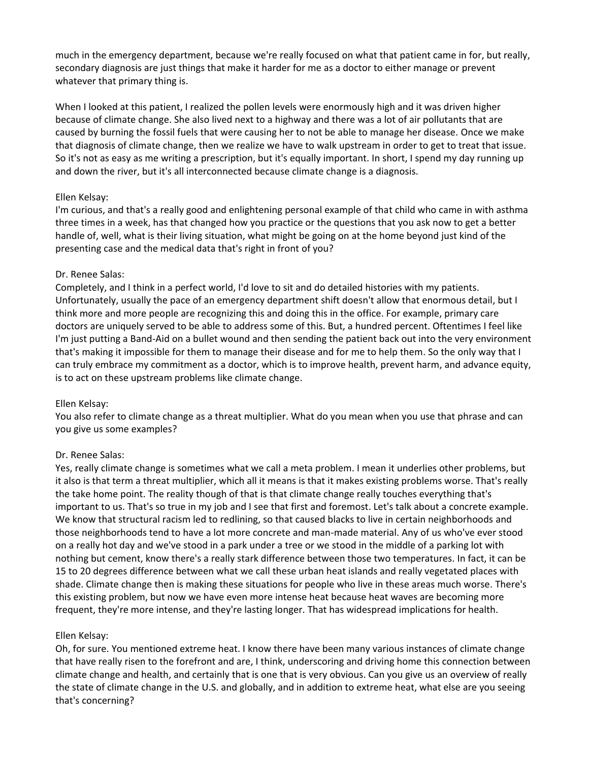much in the emergency department, because we're really focused on what that patient came in for, but really, secondary diagnosis are just things that make it harder for me as a doctor to either manage or prevent whatever that primary thing is.

When I looked at this patient, I realized the pollen levels were enormously high and it was driven higher because of climate change. She also lived next to a highway and there was a lot of air pollutants that are caused by burning the fossil fuels that were causing her to not be able to manage her disease. Once we make that diagnosis of climate change, then we realize we have to walk upstream in order to get to treat that issue. So it's not as easy as me writing a prescription, but it's equally important. In short, I spend my day running up and down the river, but it's all interconnected because climate change is a diagnosis.

# Ellen Kelsay:

I'm curious, and that's a really good and enlightening personal example of that child who came in with asthma three times in a week, has that changed how you practice or the questions that you ask now to get a better handle of, well, what is their living situation, what might be going on at the home beyond just kind of the presenting case and the medical data that's right in front of you?

# Dr. Renee Salas:

Completely, and I think in a perfect world, I'd love to sit and do detailed histories with my patients. Unfortunately, usually the pace of an emergency department shift doesn't allow that enormous detail, but I think more and more people are recognizing this and doing this in the office. For example, primary care doctors are uniquely served to be able to address some of this. But, a hundred percent. Oftentimes I feel like I'm just putting a Band-Aid on a bullet wound and then sending the patient back out into the very environment that's making it impossible for them to manage their disease and for me to help them. So the only way that I can truly embrace my commitment as a doctor, which is to improve health, prevent harm, and advance equity, is to act on these upstream problems like climate change.

### Ellen Kelsay:

You also refer to climate change as a threat multiplier. What do you mean when you use that phrase and can you give us some examples?

# Dr. Renee Salas:

Yes, really climate change is sometimes what we call a meta problem. I mean it underlies other problems, but it also is that term a threat multiplier, which all it means is that it makes existing problems worse. That's really the take home point. The reality though of that is that climate change really touches everything that's important to us. That's so true in my job and I see that first and foremost. Let's talk about a concrete example. We know that structural racism led to redlining, so that caused blacks to live in certain neighborhoods and those neighborhoods tend to have a lot more concrete and man-made material. Any of us who've ever stood on a really hot day and we've stood in a park under a tree or we stood in the middle of a parking lot with nothing but cement, know there's a really stark difference between those two temperatures. In fact, it can be 15 to 20 degrees difference between what we call these urban heat islands and really vegetated places with shade. Climate change then is making these situations for people who live in these areas much worse. There's this existing problem, but now we have even more intense heat because heat waves are becoming more frequent, they're more intense, and they're lasting longer. That has widespread implications for health.

### Ellen Kelsay:

Oh, for sure. You mentioned extreme heat. I know there have been many various instances of climate change that have really risen to the forefront and are, I think, underscoring and driving home this connection between climate change and health, and certainly that is one that is very obvious. Can you give us an overview of really the state of climate change in the U.S. and globally, and in addition to extreme heat, what else are you seeing that's concerning?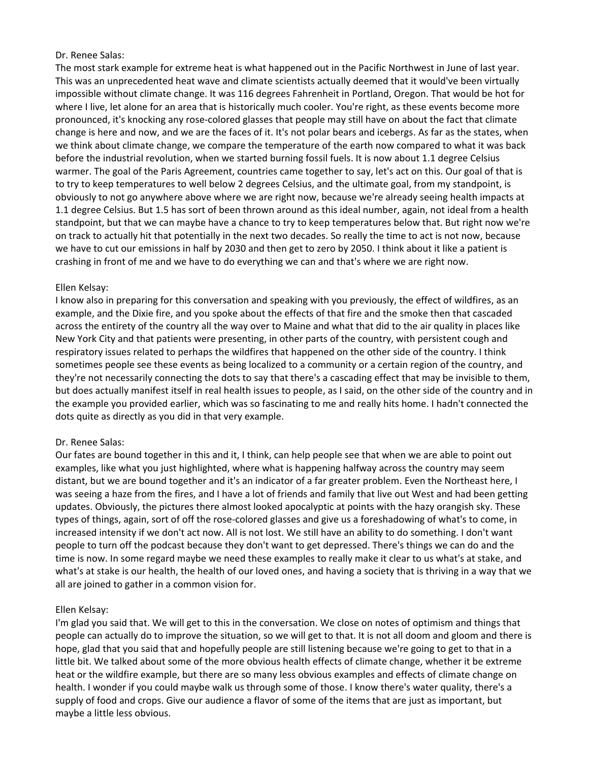The most stark example for extreme heat is what happened out in the Pacific Northwest in June of last year. This was an unprecedented heat wave and climate scientists actually deemed that it would've been virtually impossible without climate change. It was 116 degrees Fahrenheit in Portland, Oregon. That would be hot for where I live, let alone for an area that is historically much cooler. You're right, as these events become more pronounced, it's knocking any rose-colored glasses that people may still have on about the fact that climate change is here and now, and we are the faces of it. It's not polar bears and icebergs. As far as the states, when we think about climate change, we compare the temperature of the earth now compared to what it was back before the industrial revolution, when we started burning fossil fuels. It is now about 1.1 degree Celsius warmer. The goal of the Paris Agreement, countries came together to say, let's act on this. Our goal of that is to try to keep temperatures to well below 2 degrees Celsius, and the ultimate goal, from my standpoint, is obviously to not go anywhere above where we are right now, because we're already seeing health impacts at 1.1 degree Celsius. But 1.5 has sort of been thrown around as this ideal number, again, not ideal from a health standpoint, but that we can maybe have a chance to try to keep temperatures below that. But right now we're on track to actually hit that potentially in the next two decades. So really the time to act is not now, because we have to cut our emissions in half by 2030 and then get to zero by 2050. I think about it like a patient is crashing in front of me and we have to do everything we can and that's where we are right now.

#### Ellen Kelsay:

I know also in preparing for this conversation and speaking with you previously, the effect of wildfires, as an example, and the Dixie fire, and you spoke about the effects of that fire and the smoke then that cascaded across the entirety of the country all the way over to Maine and what that did to the air quality in places like New York City and that patients were presenting, in other parts of the country, with persistent cough and respiratory issues related to perhaps the wildfires that happened on the other side of the country. I think sometimes people see these events as being localized to a community or a certain region of the country, and they're not necessarily connecting the dots to say that there's a cascading effect that may be invisible to them, but does actually manifest itself in real health issues to people, as I said, on the other side of the country and in the example you provided earlier, which was so fascinating to me and really hits home. I hadn't connected the dots quite as directly as you did in that very example.

### Dr. Renee Salas:

Our fates are bound together in this and it, I think, can help people see that when we are able to point out examples, like what you just highlighted, where what is happening halfway across the country may seem distant, but we are bound together and it's an indicator of a far greater problem. Even the Northeast here, I was seeing a haze from the fires, and I have a lot of friends and family that live out West and had been getting updates. Obviously, the pictures there almost looked apocalyptic at points with the hazy orangish sky. These types of things, again, sort of off the rose-colored glasses and give us a foreshadowing of what's to come, in increased intensity if we don't act now. All is not lost. We still have an ability to do something. I don't want people to turn off the podcast because they don't want to get depressed. There's things we can do and the time is now. In some regard maybe we need these examples to really make it clear to us what's at stake, and what's at stake is our health, the health of our loved ones, and having a society that is thriving in a way that we all are joined to gather in a common vision for.

### Ellen Kelsay:

I'm glad you said that. We will get to this in the conversation. We close on notes of optimism and things that people can actually do to improve the situation, so we will get to that. It is not all doom and gloom and there is hope, glad that you said that and hopefully people are still listening because we're going to get to that in a little bit. We talked about some of the more obvious health effects of climate change, whether it be extreme heat or the wildfire example, but there are so many less obvious examples and effects of climate change on health. I wonder if you could maybe walk us through some of those. I know there's water quality, there's a supply of food and crops. Give our audience a flavor of some of the items that are just as important, but maybe a little less obvious.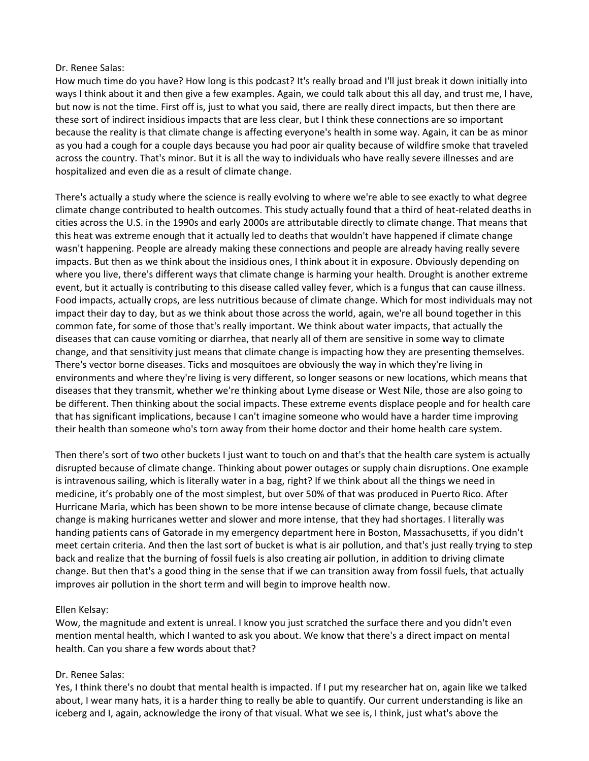How much time do you have? How long is this podcast? It's really broad and I'll just break it down initially into ways I think about it and then give a few examples. Again, we could talk about this all day, and trust me, I have, but now is not the time. First off is, just to what you said, there are really direct impacts, but then there are these sort of indirect insidious impacts that are less clear, but I think these connections are so important because the reality is that climate change is affecting everyone's health in some way. Again, it can be as minor as you had a cough for a couple days because you had poor air quality because of wildfire smoke that traveled across the country. That's minor. But it is all the way to individuals who have really severe illnesses and are hospitalized and even die as a result of climate change.

There's actually a study where the science is really evolving to where we're able to see exactly to what degree climate change contributed to health outcomes. This study actually found that a third of heat-related deaths in cities across the U.S. in the 1990s and early 2000s are attributable directly to climate change. That means that this heat was extreme enough that it actually led to deaths that wouldn't have happened if climate change wasn't happening. People are already making these connections and people are already having really severe impacts. But then as we think about the insidious ones, I think about it in exposure. Obviously depending on where you live, there's different ways that climate change is harming your health. Drought is another extreme event, but it actually is contributing to this disease called valley fever, which is a fungus that can cause illness. Food impacts, actually crops, are less nutritious because of climate change. Which for most individuals may not impact their day to day, but as we think about those across the world, again, we're all bound together in this common fate, for some of those that's really important. We think about water impacts, that actually the diseases that can cause vomiting or diarrhea, that nearly all of them are sensitive in some way to climate change, and that sensitivity just means that climate change is impacting how they are presenting themselves. There's vector borne diseases. Ticks and mosquitoes are obviously the way in which they're living in environments and where they're living is very different, so longer seasons or new locations, which means that diseases that they transmit, whether we're thinking about Lyme disease or West Nile, those are also going to be different. Then thinking about the social impacts. These extreme events displace people and for health care that has significant implications, because I can't imagine someone who would have a harder time improving their health than someone who's torn away from their home doctor and their home health care system.

Then there's sort of two other buckets I just want to touch on and that's that the health care system is actually disrupted because of climate change. Thinking about power outages or supply chain disruptions. One example is intravenous sailing, which is literally water in a bag, right? If we think about all the things we need in medicine, it's probably one of the most simplest, but over 50% of that was produced in Puerto Rico. After Hurricane Maria, which has been shown to be more intense because of climate change, because climate change is making hurricanes wetter and slower and more intense, that they had shortages. I literally was handing patients cans of Gatorade in my emergency department here in Boston, Massachusetts, if you didn't meet certain criteria. And then the last sort of bucket is what is air pollution, and that's just really trying to step back and realize that the burning of fossil fuels is also creating air pollution, in addition to driving climate change. But then that's a good thing in the sense that if we can transition away from fossil fuels, that actually improves air pollution in the short term and will begin to improve health now.

### Ellen Kelsay:

Wow, the magnitude and extent is unreal. I know you just scratched the surface there and you didn't even mention mental health, which I wanted to ask you about. We know that there's a direct impact on mental health. Can you share a few words about that?

### Dr. Renee Salas:

Yes, I think there's no doubt that mental health is impacted. If I put my researcher hat on, again like we talked about, I wear many hats, it is a harder thing to really be able to quantify. Our current understanding is like an iceberg and I, again, acknowledge the irony of that visual. What we see is, I think, just what's above the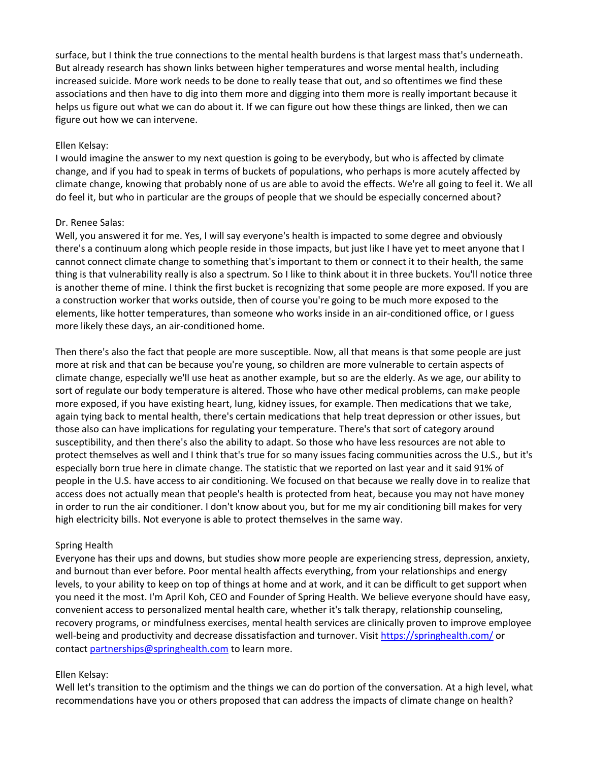surface, but I think the true connections to the mental health burdens is that largest mass that's underneath. But already research has shown links between higher temperatures and worse mental health, including increased suicide. More work needs to be done to really tease that out, and so oftentimes we find these associations and then have to dig into them more and digging into them more is really important because it helps us figure out what we can do about it. If we can figure out how these things are linked, then we can figure out how we can intervene.

#### Ellen Kelsay:

I would imagine the answer to my next question is going to be everybody, but who is affected by climate change, and if you had to speak in terms of buckets of populations, who perhaps is more acutely affected by climate change, knowing that probably none of us are able to avoid the effects. We're all going to feel it. We all do feel it, but who in particular are the groups of people that we should be especially concerned about?

#### Dr. Renee Salas:

Well, you answered it for me. Yes, I will say everyone's health is impacted to some degree and obviously there's a continuum along which people reside in those impacts, but just like I have yet to meet anyone that I cannot connect climate change to something that's important to them or connect it to their health, the same thing is that vulnerability really is also a spectrum. So I like to think about it in three buckets. You'll notice three is another theme of mine. I think the first bucket is recognizing that some people are more exposed. If you are a construction worker that works outside, then of course you're going to be much more exposed to the elements, like hotter temperatures, than someone who works inside in an air-conditioned office, or I guess more likely these days, an air-conditioned home.

Then there's also the fact that people are more susceptible. Now, all that means is that some people are just more at risk and that can be because you're young, so children are more vulnerable to certain aspects of climate change, especially we'll use heat as another example, but so are the elderly. As we age, our ability to sort of regulate our body temperature is altered. Those who have other medical problems, can make people more exposed, if you have existing heart, lung, kidney issues, for example. Then medications that we take, again tying back to mental health, there's certain medications that help treat depression or other issues, but those also can have implications for regulating your temperature. There's that sort of category around susceptibility, and then there's also the ability to adapt. So those who have less resources are not able to protect themselves as well and I think that's true for so many issues facing communities across the U.S., but it's especially born true here in climate change. The statistic that we reported on last year and it said 91% of people in the U.S. have access to air conditioning. We focused on that because we really dove in to realize that access does not actually mean that people's health is protected from heat, because you may not have money in order to run the air conditioner. I don't know about you, but for me my air conditioning bill makes for very high electricity bills. Not everyone is able to protect themselves in the same way.

### Spring Health

Everyone has their ups and downs, but studies show more people are experiencing stress, depression, anxiety, and burnout than ever before. Poor mental health affects everything, from your relationships and energy levels, to your ability to keep on top of things at home and at work, and it can be difficult to get support when you need it the most. I'm April Koh, CEO and Founder of Spring Health. We believe everyone should have easy, convenient access to personalized mental health care, whether it's talk therapy, relationship counseling, recovery programs, or mindfulness exercises, mental health services are clinically proven to improve employee well-being and productivity and decrease dissatisfaction and turnover. Visit<https://springhealth.com/> or contac[t partnerships@springhealth.com](mailto:partnerships@springhealth.com) to learn more.

### Ellen Kelsay:

Well let's transition to the optimism and the things we can do portion of the conversation. At a high level, what recommendations have you or others proposed that can address the impacts of climate change on health?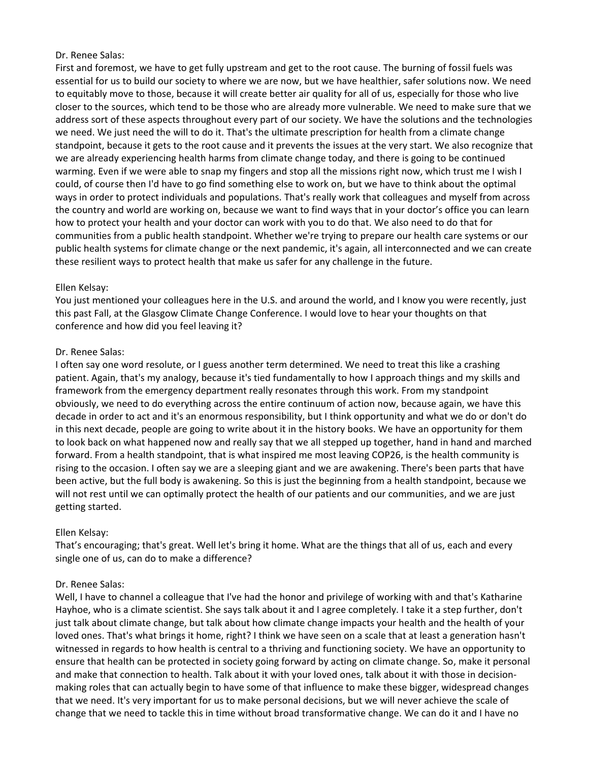First and foremost, we have to get fully upstream and get to the root cause. The burning of fossil fuels was essential for us to build our society to where we are now, but we have healthier, safer solutions now. We need to equitably move to those, because it will create better air quality for all of us, especially for those who live closer to the sources, which tend to be those who are already more vulnerable. We need to make sure that we address sort of these aspects throughout every part of our society. We have the solutions and the technologies we need. We just need the will to do it. That's the ultimate prescription for health from a climate change standpoint, because it gets to the root cause and it prevents the issues at the very start. We also recognize that we are already experiencing health harms from climate change today, and there is going to be continued warming. Even if we were able to snap my fingers and stop all the missions right now, which trust me I wish I could, of course then I'd have to go find something else to work on, but we have to think about the optimal ways in order to protect individuals and populations. That's really work that colleagues and myself from across the country and world are working on, because we want to find ways that in your doctor's office you can learn how to protect your health and your doctor can work with you to do that. We also need to do that for communities from a public health standpoint. Whether we're trying to prepare our health care systems or our public health systems for climate change or the next pandemic, it's again, all interconnected and we can create these resilient ways to protect health that make us safer for any challenge in the future.

### Ellen Kelsay:

You just mentioned your colleagues here in the U.S. and around the world, and I know you were recently, just this past Fall, at the Glasgow Climate Change Conference. I would love to hear your thoughts on that conference and how did you feel leaving it?

#### Dr. Renee Salas:

I often say one word resolute, or I guess another term determined. We need to treat this like a crashing patient. Again, that's my analogy, because it's tied fundamentally to how I approach things and my skills and framework from the emergency department really resonates through this work. From my standpoint obviously, we need to do everything across the entire continuum of action now, because again, we have this decade in order to act and it's an enormous responsibility, but I think opportunity and what we do or don't do in this next decade, people are going to write about it in the history books. We have an opportunity for them to look back on what happened now and really say that we all stepped up together, hand in hand and marched forward. From a health standpoint, that is what inspired me most leaving COP26, is the health community is rising to the occasion. I often say we are a sleeping giant and we are awakening. There's been parts that have been active, but the full body is awakening. So this is just the beginning from a health standpoint, because we will not rest until we can optimally protect the health of our patients and our communities, and we are just getting started.

#### Ellen Kelsay:

That's encouraging; that's great. Well let's bring it home. What are the things that all of us, each and every single one of us, can do to make a difference?

#### Dr. Renee Salas:

Well, I have to channel a colleague that I've had the honor and privilege of working with and that's Katharine Hayhoe, who is a climate scientist. She says talk about it and I agree completely. I take it a step further, don't just talk about climate change, but talk about how climate change impacts your health and the health of your loved ones. That's what brings it home, right? I think we have seen on a scale that at least a generation hasn't witnessed in regards to how health is central to a thriving and functioning society. We have an opportunity to ensure that health can be protected in society going forward by acting on climate change. So, make it personal and make that connection to health. Talk about it with your loved ones, talk about it with those in decisionmaking roles that can actually begin to have some of that influence to make these bigger, widespread changes that we need. It's very important for us to make personal decisions, but we will never achieve the scale of change that we need to tackle this in time without broad transformative change. We can do it and I have no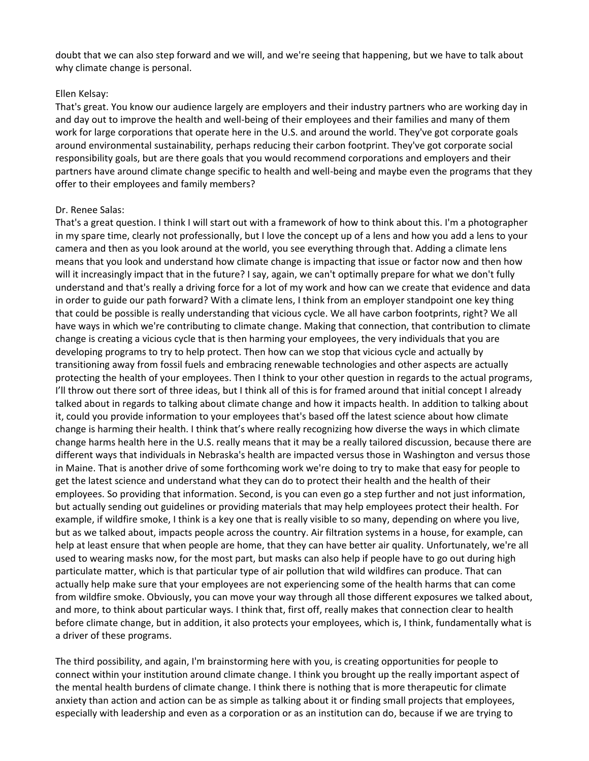doubt that we can also step forward and we will, and we're seeing that happening, but we have to talk about why climate change is personal.

#### Ellen Kelsay:

That's great. You know our audience largely are employers and their industry partners who are working day in and day out to improve the health and well-being of their employees and their families and many of them work for large corporations that operate here in the U.S. and around the world. They've got corporate goals around environmental sustainability, perhaps reducing their carbon footprint. They've got corporate social responsibility goals, but are there goals that you would recommend corporations and employers and their partners have around climate change specific to health and well-being and maybe even the programs that they offer to their employees and family members?

#### Dr. Renee Salas:

That's a great question. I think I will start out with a framework of how to think about this. I'm a photographer in my spare time, clearly not professionally, but I love the concept up of a lens and how you add a lens to your camera and then as you look around at the world, you see everything through that. Adding a climate lens means that you look and understand how climate change is impacting that issue or factor now and then how will it increasingly impact that in the future? I say, again, we can't optimally prepare for what we don't fully understand and that's really a driving force for a lot of my work and how can we create that evidence and data in order to guide our path forward? With a climate lens, I think from an employer standpoint one key thing that could be possible is really understanding that vicious cycle. We all have carbon footprints, right? We all have ways in which we're contributing to climate change. Making that connection, that contribution to climate change is creating a vicious cycle that is then harming your employees, the very individuals that you are developing programs to try to help protect. Then how can we stop that vicious cycle and actually by transitioning away from fossil fuels and embracing renewable technologies and other aspects are actually protecting the health of your employees. Then I think to your other question in regards to the actual programs, I'll throw out there sort of three ideas, but I think all of this is for framed around that initial concept I already talked about in regards to talking about climate change and how it impacts health. In addition to talking about it, could you provide information to your employees that's based off the latest science about how climate change is harming their health. I think that's where really recognizing how diverse the ways in which climate change harms health here in the U.S. really means that it may be a really tailored discussion, because there are different ways that individuals in Nebraska's health are impacted versus those in Washington and versus those in Maine. That is another drive of some forthcoming work we're doing to try to make that easy for people to get the latest science and understand what they can do to protect their health and the health of their employees. So providing that information. Second, is you can even go a step further and not just information, but actually sending out guidelines or providing materials that may help employees protect their health. For example, if wildfire smoke, I think is a key one that is really visible to so many, depending on where you live, but as we talked about, impacts people across the country. Air filtration systems in a house, for example, can help at least ensure that when people are home, that they can have better air quality. Unfortunately, we're all used to wearing masks now, for the most part, but masks can also help if people have to go out during high particulate matter, which is that particular type of air pollution that wild wildfires can produce. That can actually help make sure that your employees are not experiencing some of the health harms that can come from wildfire smoke. Obviously, you can move your way through all those different exposures we talked about, and more, to think about particular ways. I think that, first off, really makes that connection clear to health before climate change, but in addition, it also protects your employees, which is, I think, fundamentally what is a driver of these programs.

The third possibility, and again, I'm brainstorming here with you, is creating opportunities for people to connect within your institution around climate change. I think you brought up the really important aspect of the mental health burdens of climate change. I think there is nothing that is more therapeutic for climate anxiety than action and action can be as simple as talking about it or finding small projects that employees, especially with leadership and even as a corporation or as an institution can do, because if we are trying to